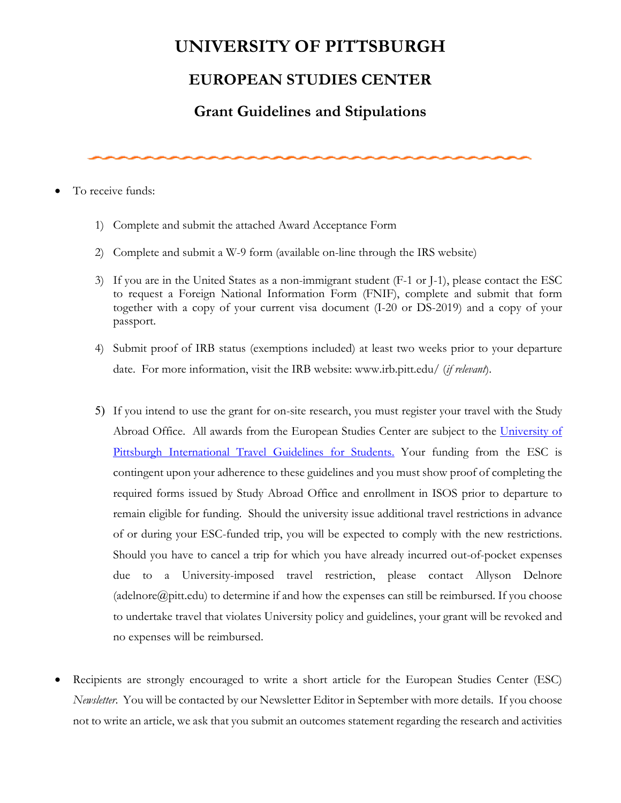## **UNIVERSITY OF PITTSBURGH**

## **EUROPEAN STUDIES CENTER**

## **Grant Guidelines and Stipulations**

To receive funds:

- 1) Complete and submit the attached Award Acceptance Form
- 2) Complete and submit a W-9 form (available on-line through the IRS website)
- 3) If you are in the United States as a non-immigrant student (F-1 or J-1), please contact the ESC to request a Foreign National Information Form (FNIF), complete and submit that form together with a copy of your current visa document (I-20 or DS-2019) and a copy of your passport.
- 4) Submit proof of IRB status (exemptions included) at least two weeks prior to your departure date. For more information, visit the IRB website: www.irb.pitt.edu/ (*if relevant*).
- 5) If you intend to use the grant for on-site research, you must register your travel with the Study Abroad Office. All awards from the European Studies Center are subject to the [University of](https://www.abroad.pitt.edu/studenttravelguidelines)  [Pittsburgh International Travel Guidelines for Students.](https://www.abroad.pitt.edu/studenttravelguidelines) Your funding from the ESC is contingent upon your adherence to these guidelines and you must show proof of completing the required forms issued by Study Abroad Office and enrollment in ISOS prior to departure to remain eligible for funding. Should the university issue additional travel restrictions in advance of or during your ESC-funded trip, you will be expected to comply with the new restrictions. Should you have to cancel a trip for which you have already incurred out-of-pocket expenses due to a University-imposed travel restriction, please contact Allyson Delnore [\(adelnore@pitt.edu\)](mailto:adelnore@pitt.edu) to determine if and how the expenses can still be reimbursed. If you choose to undertake travel that violates University policy and guidelines, your grant will be revoked and no expenses will be reimbursed.
- Recipients are strongly encouraged to write a short article for the European Studies Center (ESC) *Newsletter*. You will be contacted by our Newsletter Editor in September with more details. If you choose not to write an article, we ask that you submit an outcomes statement regarding the research and activities